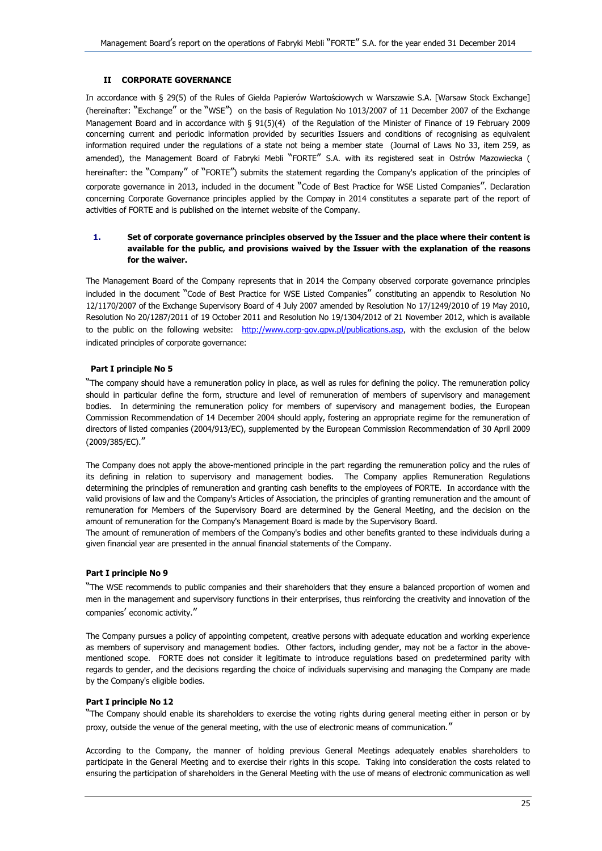# **II CORPORATE GOVERNANCE**

In accordance with § 29(5) of the Rules of Giełda Papierów Wartościowych w Warszawie S.A. [Warsaw Stock Exchange] (hereinafter: "Exchange" or the "WSE") on the basis of Regulation No 1013/2007 of 11 December 2007 of the Exchange Management Board and in accordance with § 91(5)(4) of the Regulation of the Minister of Finance of 19 February 2009 concerning current and periodic information provided by securities Issuers and conditions of recognising as equivalent information required under the regulations of a state not being a member state (Journal of Laws No 33, item 259, as amended), the Management Board of Fabryki Mebli "FORTE" S.A. with its registered seat in Ostrów Mazowiecka ( hereinafter: the "Company" of "FORTE") submits the statement regarding the Company's application of the principles of corporate governance in 2013, included in the document "Code of Best Practice for WSE Listed Companies". Declaration concerning Corporate Governance principles applied by the Compay in 2014 constitutes a separate part of the report of activities of FORTE and is published on the internet website of the Company.

# **1. Set of corporate governance principles observed by the Issuer and the place where their content is available for the public, and provisions waived by the Issuer with the explanation of the reasons for the waiver.**

The Management Board of the Company represents that in 2014 the Company observed corporate governance principles included in the document "Code of Best Practice for WSE Listed Companies" constituting an appendix to Resolution No 12/1170/2007 of the Exchange Supervisory Board of 4 July 2007 amended by Resolution No 17/1249/2010 of 19 May 2010, Resolution No 20/1287/2011 of 19 October 2011 and Resolution No 19/1304/2012 of 21 November 2012, which is available to the public on the following website: <http://www.corp-gov.gpw.pl/publications.asp>, with the exclusion of the below indicated principles of corporate governance:

# **Part I principle No 5**

"The company should have a remuneration policy in place, as well as rules for defining the policy. The remuneration policy should in particular define the form, structure and level of remuneration of members of supervisory and management bodies. In determining the remuneration policy for members of supervisory and management bodies, the European Commission Recommendation of 14 December 2004 should apply, fostering an appropriate regime for the remuneration of directors of listed companies (2004/913/EC), supplemented by the European Commission Recommendation of 30 April 2009 (2009/385/EC)."

The Company does not apply the above-mentioned principle in the part regarding the remuneration policy and the rules of its defining in relation to supervisory and management bodies. The Company applies Remuneration Regulations determining the principles of remuneration and granting cash benefits to the employees of FORTE. In accordance with the valid provisions of law and the Company's Articles of Association, the principles of granting remuneration and the amount of remuneration for Members of the Supervisory Board are determined by the General Meeting, and the decision on the amount of remuneration for the Company's Management Board is made by the Supervisory Board.

The amount of remuneration of members of the Company's bodies and other benefits granted to these individuals during a given financial year are presented in the annual financial statements of the Company.

## **Part I principle No 9**

"The WSE recommends to public companies and their shareholders that they ensure a balanced proportion of women and men in the management and supervisory functions in their enterprises, thus reinforcing the creativity and innovation of the companies' economic activity."

The Company pursues a policy of appointing competent, creative persons with adequate education and working experience as members of supervisory and management bodies. Other factors, including gender, may not be a factor in the abovementioned scope. FORTE does not consider it legitimate to introduce regulations based on predetermined parity with regards to gender, and the decisions regarding the choice of individuals supervising and managing the Company are made by the Company's eligible bodies.

# **Part I principle No 12**

"The Company should enable its shareholders to exercise the voting rights during general meeting either in person or by proxy, outside the venue of the general meeting, with the use of electronic means of communication."

According to the Company, the manner of holding previous General Meetings adequately enables shareholders to participate in the General Meeting and to exercise their rights in this scope. Taking into consideration the costs related to ensuring the participation of shareholders in the General Meeting with the use of means of electronic communication as well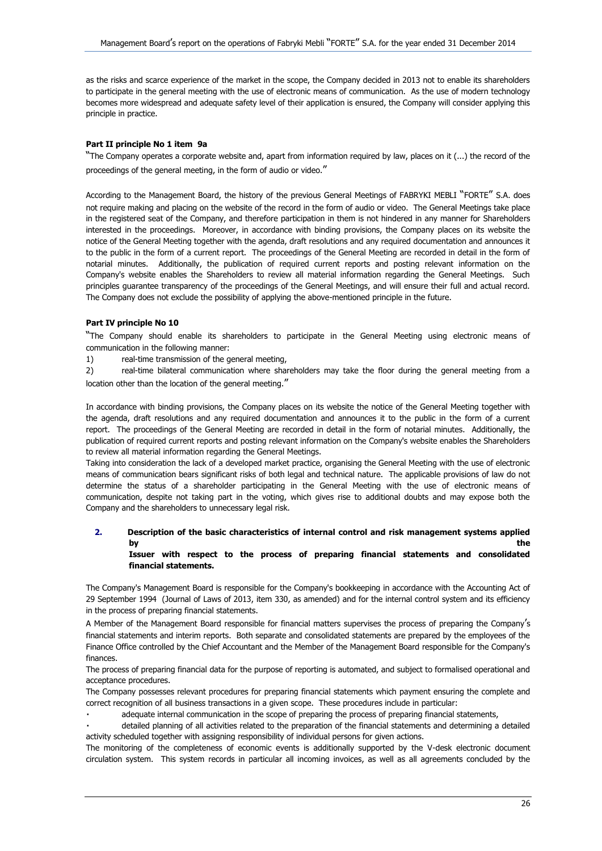as the risks and scarce experience of the market in the scope, the Company decided in 2013 not to enable its shareholders to participate in the general meeting with the use of electronic means of communication. As the use of modern technology becomes more widespread and adequate safety level of their application is ensured, the Company will consider applying this principle in practice.

## **Part II principle No 1 item 9a**

"The Company operates a corporate website and, apart from information required by law, places on it (...) the record of the proceedings of the general meeting, in the form of audio or video."

According to the Management Board, the history of the previous General Meetings of FABRYKI MEBLI "FORTE" S.A. does not require making and placing on the website of the record in the form of audio or video. The General Meetings take place in the registered seat of the Company, and therefore participation in them is not hindered in any manner for Shareholders interested in the proceedings. Moreover, in accordance with binding provisions, the Company places on its website the notice of the General Meeting together with the agenda, draft resolutions and any required documentation and announces it to the public in the form of a current report. The proceedings of the General Meeting are recorded in detail in the form of notarial minutes. Additionally, the publication of required current reports and posting relevant information on the Company's website enables the Shareholders to review all material information regarding the General Meetings. Such principles guarantee transparency of the proceedings of the General Meetings, and will ensure their full and actual record. The Company does not exclude the possibility of applying the above-mentioned principle in the future.

#### **Part IV principle No 10**

"The Company should enable its shareholders to participate in the General Meeting using electronic means of communication in the following manner:

1) real-time transmission of the general meeting,

2) real-time bilateral communication where shareholders may take the floor during the general meeting from a location other than the location of the general meeting."

In accordance with binding provisions, the Company places on its website the notice of the General Meeting together with the agenda, draft resolutions and any required documentation and announces it to the public in the form of a current report. The proceedings of the General Meeting are recorded in detail in the form of notarial minutes. Additionally, the publication of required current reports and posting relevant information on the Company's website enables the Shareholders to review all material information regarding the General Meetings.

Taking into consideration the lack of a developed market practice, organising the General Meeting with the use of electronic means of communication bears significant risks of both legal and technical nature. The applicable provisions of law do not determine the status of a shareholder participating in the General Meeting with the use of electronic means of communication, despite not taking part in the voting, which gives rise to additional doubts and may expose both the Company and the shareholders to unnecessary legal risk.

# **2. Description of the basic characteristics of internal control and risk management systems applied by** the contract of the contract of the contract of the contract of the contract of the contract of the contract of the contract of the contract of the contract of the contract of the contract of the contract of the contr

## **Issuer with respect to the process of preparing financial statements and consolidated financial statements.**

The Company's Management Board is responsible for the Company's bookkeeping in accordance with the Accounting Act of 29 September 1994 (Journal of Laws of 2013, item 330, as amended) and for the internal control system and its efficiency in the process of preparing financial statements.

A Member of the Management Board responsible for financial matters supervises the process of preparing the Company's financial statements and interim reports. Both separate and consolidated statements are prepared by the employees of the Finance Office controlled by the Chief Accountant and the Member of the Management Board responsible for the Company's finances.

The process of preparing financial data for the purpose of reporting is automated, and subject to formalised operational and acceptance procedures.

The Company possesses relevant procedures for preparing financial statements which payment ensuring the complete and correct recognition of all business transactions in a given scope. These procedures include in particular:

adequate internal communication in the scope of preparing the process of preparing financial statements,

detailed planning of all activities related to the preparation of the financial statements and determining a detailed activity scheduled together with assigning responsibility of individual persons for given actions.

The monitoring of the completeness of economic events is additionally supported by the V-desk electronic document circulation system. This system records in particular all incoming invoices, as well as all agreements concluded by the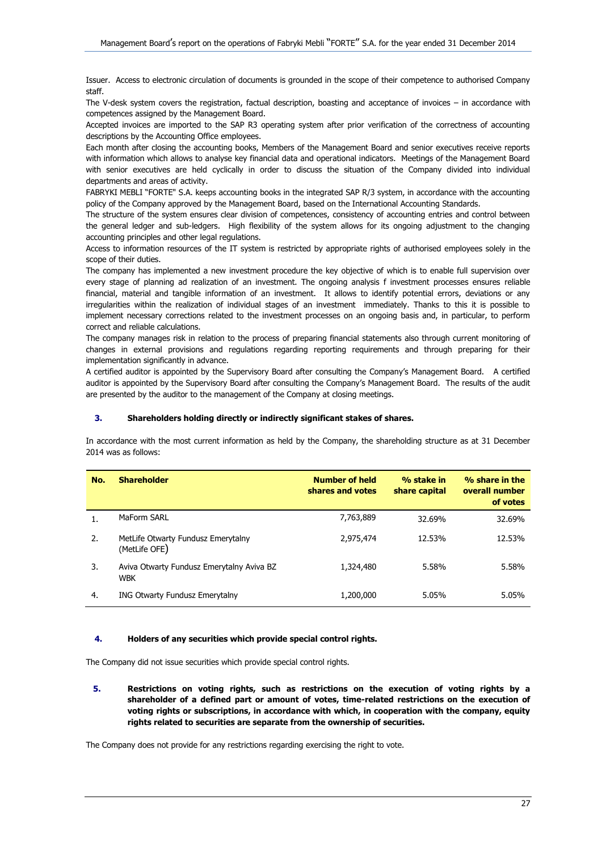Issuer. Access to electronic circulation of documents is grounded in the scope of their competence to authorised Company staff.

The V-desk system covers the registration, factual description, boasting and acceptance of invoices – in accordance with competences assigned by the Management Board.

Accepted invoices are imported to the SAP R3 operating system after prior verification of the correctness of accounting descriptions by the Accounting Office employees.

Each month after closing the accounting books, Members of the Management Board and senior executives receive reports with information which allows to analyse key financial data and operational indicators. Meetings of the Management Board with senior executives are held cyclically in order to discuss the situation of the Company divided into individual departments and areas of activity.

FABRYKI MEBLI "FORTE" S.A. keeps accounting books in the integrated SAP R/3 system, in accordance with the accounting policy of the Company approved by the Management Board, based on the International Accounting Standards.

The structure of the system ensures clear division of competences, consistency of accounting entries and control between the general ledger and sub-ledgers. High flexibility of the system allows for its ongoing adjustment to the changing accounting principles and other legal regulations.

Access to information resources of the IT system is restricted by appropriate rights of authorised employees solely in the scope of their duties.

The company has implemented a new investment procedure the key objective of which is to enable full supervision over every stage of planning ad realization of an investment. The ongoing analysis f investment processes ensures reliable financial, material and tangible information of an investment. It allows to identify potential errors, deviations or any irregularities within the realization of individual stages of an investment immediately. Thanks to this it is possible to implement necessary corrections related to the investment processes on an ongoing basis and, in particular, to perform correct and reliable calculations.

The company manages risk in relation to the process of preparing financial statements also through current monitoring of changes in external provisions and regulations regarding reporting requirements and through preparing for their implementation significantly in advance.

A certified auditor is appointed by the Supervisory Board after consulting the Company's Management Board. A certified auditor is appointed by the Supervisory Board after consulting the Company's Management Board. The results of the audit are presented by the auditor to the management of the Company at closing meetings.

# **3. Shareholders holding directly or indirectly significant stakes of shares.**

In accordance with the most current information as held by the Company, the shareholding structure as at 31 December 2014 was as follows:

| No. | <b>Shareholder</b>                                      | <b>Number of held</b><br>shares and votes | % stake in<br>share capital | % share in the<br>overall number<br>of votes |
|-----|---------------------------------------------------------|-------------------------------------------|-----------------------------|----------------------------------------------|
|     | MaForm SARL                                             | 7,763,889                                 | 32.69%                      | 32.69%                                       |
| 2.  | MetLife Otwarty Fundusz Emerytalny<br>(MetLife OFE)     | 2,975,474                                 | 12.53%                      | 12.53%                                       |
| 3.  | Aviva Otwarty Fundusz Emerytalny Aviva BZ<br><b>WBK</b> | 1,324,480                                 | 5.58%                       | 5.58%                                        |
| 4.  | <b>ING Otwarty Fundusz Emerytalny</b>                   | 1,200,000                                 | 5.05%                       | 5.05%                                        |

#### **4. Holders of any securities which provide special control rights.**

The Company did not issue securities which provide special control rights.

**5. Restrictions on voting rights, such as restrictions on the execution of voting rights by a shareholder of a defined part or amount of votes, time-related restrictions on the execution of voting rights or subscriptions, in accordance with which, in cooperation with the company, equity rights related to securities are separate from the ownership of securities.**

The Company does not provide for any restrictions regarding exercising the right to vote.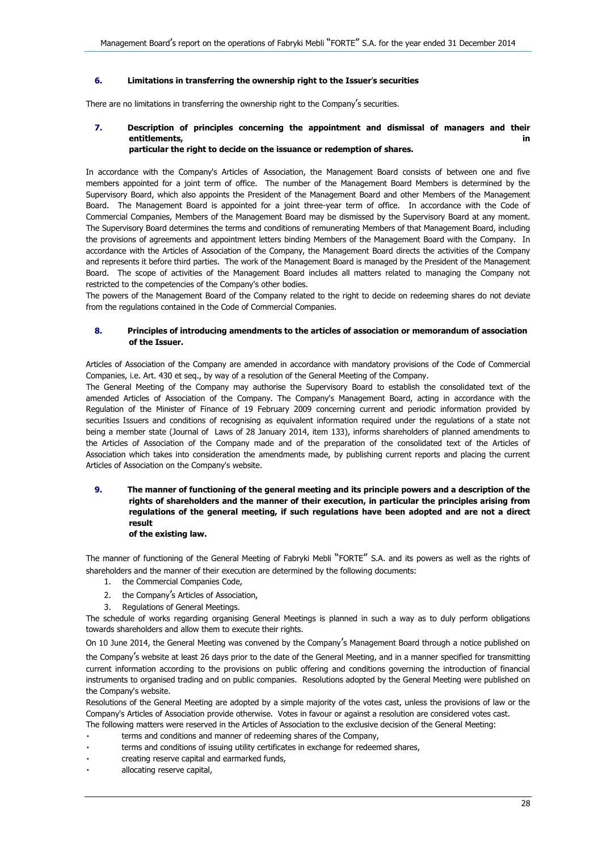# **6. Limitations in transferring the ownership right to the Issuer**'**s securities**

There are no limitations in transferring the ownership right to the Company's securities.

## **7. Description of principles concerning the appointment and dismissal of managers and their entitlements,** in **in** *entitlements,* **in** *in* **particular the right to decide on the issuance or redemption of shares.**

In accordance with the Company's Articles of Association, the Management Board consists of between one and five members appointed for a joint term of office. The number of the Management Board Members is determined by the Supervisory Board, which also appoints the President of the Management Board and other Members of the Management Board. The Management Board is appointed for a joint three-year term of office. In accordance with the Code of Commercial Companies, Members of the Management Board may be dismissed by the Supervisory Board at any moment. The Supervisory Board determines the terms and conditions of remunerating Members of that Management Board, including the provisions of agreements and appointment letters binding Members of the Management Board with the Company. In accordance with the Articles of Association of the Company, the Management Board directs the activities of the Company and represents it before third parties. The work of the Management Board is managed by the President of the Management Board. The scope of activities of the Management Board includes all matters related to managing the Company not restricted to the competencies of the Company's other bodies.

The powers of the Management Board of the Company related to the right to decide on redeeming shares do not deviate from the regulations contained in the Code of Commercial Companies.

## **8. Principles of introducing amendments to the articles of association or memorandum of association of the Issuer.**

Articles of Association of the Company are amended in accordance with mandatory provisions of the Code of Commercial Companies, i.e. Art. 430 et seq., by way of a resolution of the General Meeting of the Company.

The General Meeting of the Company may authorise the Supervisory Board to establish the consolidated text of the amended Articles of Association of the Company. The Company's Management Board, acting in accordance with the Regulation of the Minister of Finance of 19 February 2009 concerning current and periodic information provided by securities Issuers and conditions of recognising as equivalent information required under the regulations of a state not being a member state (Journal of Laws of 28 January 2014, item 133), informs shareholders of planned amendments to the Articles of Association of the Company made and of the preparation of the consolidated text of the Articles of Association which takes into consideration the amendments made, by publishing current reports and placing the current Articles of Association on the Company's website.

## **9. The manner of functioning of the general meeting and its principle powers and a description of the rights of shareholders and the manner of their execution, in particular the principles arising from regulations of the general meeting, if such regulations have been adopted and are not a direct result of the existing law.**

# The manner of functioning of the General Meeting of Fabryki Mebli "FORTE" S.A. and its powers as well as the rights of shareholders and the manner of their execution are determined by the following documents:

- 1. the Commercial Companies Code,
- 2. the Company's Articles of Association,
- 3. Regulations of General Meetings.

The schedule of works regarding organising General Meetings is planned in such a way as to duly perform obligations towards shareholders and allow them to execute their rights.

On 10 June 2014, the General Meeting was convened by the Company's Management Board through a notice published on

the Company's website at least 26 days prior to the date of the General Meeting, and in a manner specified for transmitting current information according to the provisions on public offering and conditions governing the introduction of financial instruments to organised trading and on public companies. Resolutions adopted by the General Meeting were published on the Company's website.

Resolutions of the General Meeting are adopted by a simple majority of the votes cast, unless the provisions of law or the Company's Articles of Association provide otherwise. Votes in favour or against a resolution are considered votes cast.

- The following matters were reserved in the Articles of Association to the exclusive decision of the General Meeting:
- terms and conditions and manner of redeeming shares of the Company,
- terms and conditions of issuing utility certificates in exchange for redeemed shares,
- creating reserve capital and earmarked funds,
- allocating reserve capital,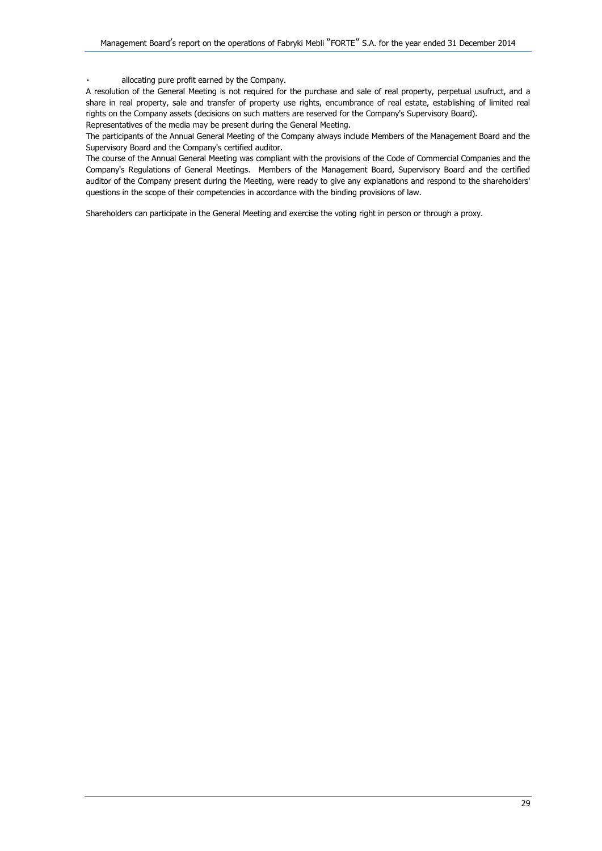allocating pure profit earned by the Company.

A resolution of the General Meeting is not required for the purchase and sale of real property, perpetual usufruct, and a share in real property, sale and transfer of property use rights, encumbrance of real estate, establishing of limited real rights on the Company assets (decisions on such matters are reserved for the Company's Supervisory Board).

Representatives of the media may be present during the General Meeting.

The participants of the Annual General Meeting of the Company always include Members of the Management Board and the Supervisory Board and the Company's certified auditor.

The course of the Annual General Meeting was compliant with the provisions of the Code of Commercial Companies and the Company's Regulations of General Meetings. Members of the Management Board, Supervisory Board and the certified auditor of the Company present during the Meeting, were ready to give any explanations and respond to the shareholders' questions in the scope of their competencies in accordance with the binding provisions of law.

Shareholders can participate in the General Meeting and exercise the voting right in person or through a proxy.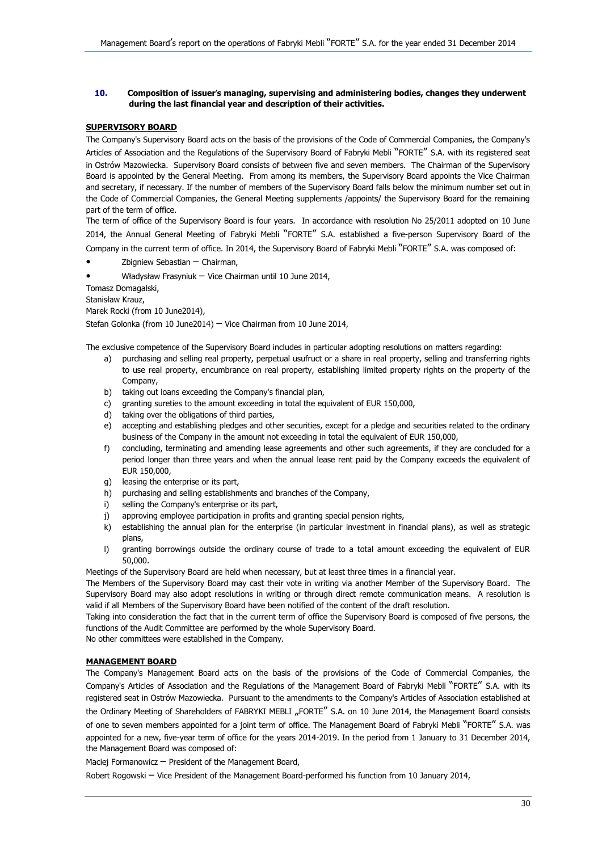## **10. Composition of issuer**'**s managing, supervising and administering bodies, changes they underwent during the last financial year and description of their activities.**

# **SUPERVISORY BOARD**

The Company's Supervisory Board acts on the basis of the provisions of the Code of Commercial Companies, the Company's Articles of Association and the Regulations of the Supervisory Board of Fabryki Mebli "FORTE" S.A. with its registered seat in Ostrów Mazowiecka. Supervisory Board consists of between five and seven members. The Chairman of the Supervisory Board is appointed by the General Meeting. From among its members, the Supervisory Board appoints the Vice Chairman and secretary, if necessary. If the number of members of the Supervisory Board falls below the minimum number set out in the Code of Commercial Companies, the General Meeting supplements /appoints/ the Supervisory Board for the remaining part of the term of office.

The term of office of the Supervisory Board is four years. In accordance with resolution No 25/2011 adopted on 10 June 2014, the Annual General Meeting of Fabryki Mebli "FORTE" S.A. established a five-person Supervisory Board of the

Company in the current term of office. In 2014, the Supervisory Board of Fabryki Mebli "FORTE" S.A. was composed of:

- Zbigniew Sebastian Chairman,
- Władysław Frasyniuk Vice Chairman until 10 June 2014,

Tomasz Domagalski,

Stanisław Krauz,

Marek Rocki (from 10 June2014),

Stefan Golonka (from 10 June2014) – Vice Chairman from 10 June 2014,

The exclusive competence of the Supervisory Board includes in particular adopting resolutions on matters regarding:

- a) purchasing and selling real property, perpetual usufruct or a share in real property, selling and transferring rights to use real property, encumbrance on real property, establishing limited property rights on the property of the Company,
- b) taking out loans exceeding the Company's financial plan,
- c) granting sureties to the amount exceeding in total the equivalent of EUR 150,000,
- d) taking over the obligations of third parties,
- e) accepting and establishing pledges and other securities, except for a pledge and securities related to the ordinary business of the Company in the amount not exceeding in total the equivalent of EUR 150,000,
- f) concluding, terminating and amending lease agreements and other such agreements, if they are concluded for a period longer than three years and when the annual lease rent paid by the Company exceeds the equivalent of EUR 150,000,
- g) leasing the enterprise or its part,
- h) purchasing and selling establishments and branches of the Company,
- i) selling the Company's enterprise or its part,
- j) approving employee participation in profits and granting special pension rights,
- k) establishing the annual plan for the enterprise (in particular investment in financial plans), as well as strategic plans,
- l) granting borrowings outside the ordinary course of trade to a total amount exceeding the equivalent of EUR 50,000.

Meetings of the Supervisory Board are held when necessary, but at least three times in a financial year.

The Members of the Supervisory Board may cast their vote in writing via another Member of the Supervisory Board. The Supervisory Board may also adopt resolutions in writing or through direct remote communication means. A resolution is valid if all Members of the Supervisory Board have been notified of the content of the draft resolution.

Taking into consideration the fact that in the current term of office the Supervisory Board is composed of five persons, the functions of the Audit Committee are performed by the whole Supervisory Board.

No other committees were established in the Company.

# **MANAGEMENT BOARD**

The Company's Management Board acts on the basis of the provisions of the Code of Commercial Companies, the Company's Articles of Association and the Regulations of the Management Board of Fabryki Mebli "FORTE" S.A. with its registered seat in Ostrów Mazowiecka. Pursuant to the amendments to the Company's Articles of Association established at the Ordinary Meeting of Shareholders of FABRYKI MEBLI "FORTE" S.A. on 10 June 2014, the Management Board consists of one to seven members appointed for a joint term of office. The Management Board of Fabryki Mebli "FORTE" S.A. was appointed for a new, five-year term of office for the years 2014-2019. In the period from 1 January to 31 December 2014, the Management Board was composed of:

Maciej Formanowicz – President of the Management Board,

Robert Rogowski – Vice President of the Management Board-performed his function from 10 January 2014,